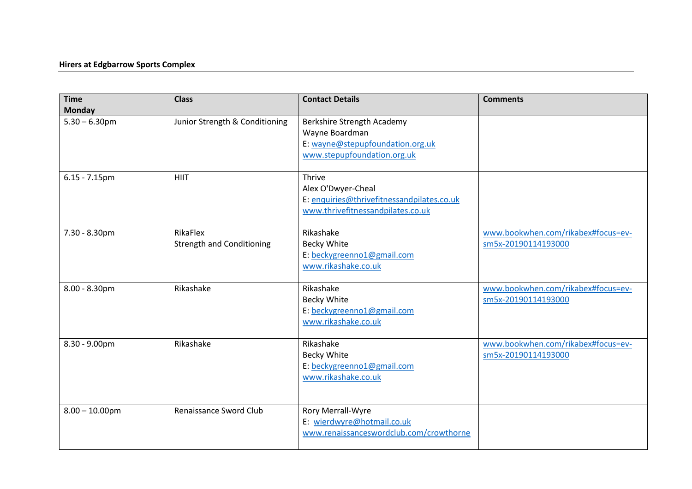## **Hirers at Edgbarrow Sports Complex**

| <b>Time</b><br><b>Monday</b> | <b>Class</b>                                 | <b>Contact Details</b>                                                                                          | <b>Comments</b>                                           |
|------------------------------|----------------------------------------------|-----------------------------------------------------------------------------------------------------------------|-----------------------------------------------------------|
| $5.30 - 6.30$ pm             | Junior Strength & Conditioning               | Berkshire Strength Academy<br>Wayne Boardman<br>E: wayne@stepupfoundation.org.uk<br>www.stepupfoundation.org.uk |                                                           |
| $6.15 - 7.15$ pm             | <b>HIIT</b>                                  | Thrive<br>Alex O'Dwyer-Cheal<br>E: enquiries@thrivefitnessandpilates.co.uk<br>www.thrivefitnessandpilates.co.uk |                                                           |
| 7.30 - 8.30pm                | RikaFlex<br><b>Strength and Conditioning</b> | Rikashake<br>Becky White<br>E: beckygreenno1@gmail.com<br>www.rikashake.co.uk                                   | www.bookwhen.com/rikabex#focus=ev-<br>sm5x-20190114193000 |
| $8.00 - 8.30$ pm             | Rikashake                                    | Rikashake<br>Becky White<br>E: beckygreenno1@gmail.com<br>www.rikashake.co.uk                                   | www.bookwhen.com/rikabex#focus=ev-<br>sm5x-20190114193000 |
| 8.30 - 9.00pm                | Rikashake                                    | Rikashake<br>Becky White<br>E: beckygreenno1@gmail.com<br>www.rikashake.co.uk                                   | www.bookwhen.com/rikabex#focus=ev-<br>sm5x-20190114193000 |
| $8.00 - 10.00$ pm            | Renaissance Sword Club                       | Rory Merrall-Wyre<br>E: wierdwyre@hotmail.co.uk<br>www.renaissanceswordclub.com/crowthorne                      |                                                           |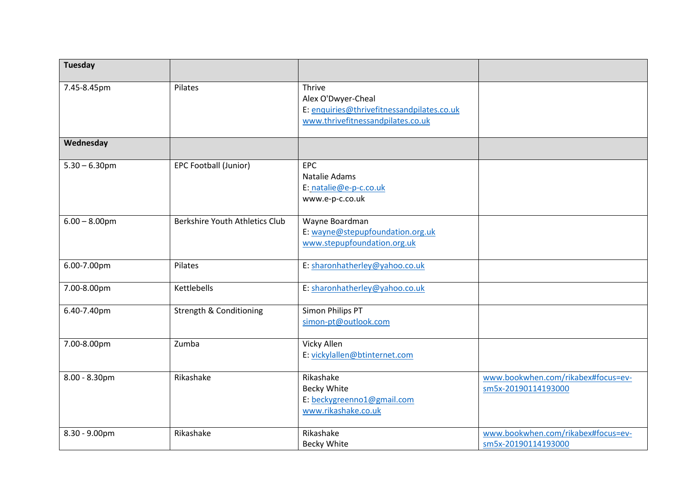| <b>Tuesday</b>   |                                    |                                                                                                                 |                                                           |
|------------------|------------------------------------|-----------------------------------------------------------------------------------------------------------------|-----------------------------------------------------------|
| 7.45-8.45pm      | Pilates                            | Thrive<br>Alex O'Dwyer-Cheal<br>E: enquiries@thrivefitnessandpilates.co.uk<br>www.thrivefitnessandpilates.co.uk |                                                           |
| Wednesday        |                                    |                                                                                                                 |                                                           |
| $5.30 - 6.30$ pm | EPC Football (Junior)              | <b>EPC</b><br>Natalie Adams<br>E: natalie@e-p-c.co.uk<br>www.e-p-c.co.uk                                        |                                                           |
| $6.00 - 8.00$ pm | Berkshire Youth Athletics Club     | Wayne Boardman<br>E: wayne@stepupfoundation.org.uk<br>www.stepupfoundation.org.uk                               |                                                           |
| 6.00-7.00pm      | Pilates                            | E: sharonhatherley@yahoo.co.uk                                                                                  |                                                           |
| 7.00-8.00pm      | Kettlebells                        | E: sharonhatherley@yahoo.co.uk                                                                                  |                                                           |
| 6.40-7.40pm      | <b>Strength &amp; Conditioning</b> | <b>Simon Philips PT</b><br>simon-pt@outlook.com                                                                 |                                                           |
| 7.00-8.00pm      | Zumba                              | Vicky Allen<br>E: vickylallen@btinternet.com                                                                    |                                                           |
| $8.00 - 8.30$ pm | Rikashake                          | Rikashake<br>Becky White<br>E: beckygreenno1@gmail.com<br>www.rikashake.co.uk                                   | www.bookwhen.com/rikabex#focus=ev-<br>sm5x-20190114193000 |
| 8.30 - 9.00pm    | Rikashake                          | Rikashake<br>Becky White                                                                                        | www.bookwhen.com/rikabex#focus=ev-<br>sm5x-20190114193000 |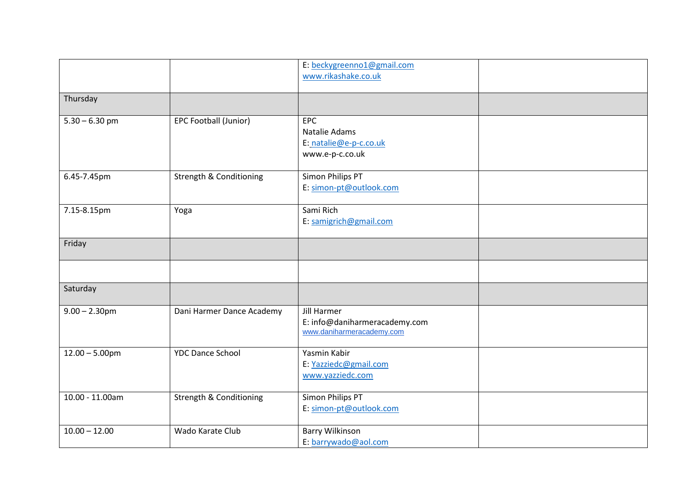|                   |                                    | E: beckygreenno1@gmail.com<br>www.rikashake.co.uk                                |  |
|-------------------|------------------------------------|----------------------------------------------------------------------------------|--|
| Thursday          |                                    |                                                                                  |  |
| $5.30 - 6.30$ pm  | EPC Football (Junior)              | EPC<br>Natalie Adams<br>E: natalie@e-p-c.co.uk<br>www.e-p-c.co.uk                |  |
| 6.45-7.45pm       | <b>Strength &amp; Conditioning</b> | Simon Philips PT<br>E: simon-pt@outlook.com                                      |  |
| 7.15-8.15pm       | Yoga                               | Sami Rich<br>E: samigrich@gmail.com                                              |  |
| Friday            |                                    |                                                                                  |  |
|                   |                                    |                                                                                  |  |
| Saturday          |                                    |                                                                                  |  |
| $9.00 - 2.30$ pm  | Dani Harmer Dance Academy          | <b>Jill Harmer</b><br>E: info@daniharmeracademy.com<br>www.daniharmeracademy.com |  |
| $12.00 - 5.00$ pm | <b>YDC Dance School</b>            | Yasmin Kabir<br>E: Yazziedc@gmail.com<br>www.yazziedc.com                        |  |
| 10.00 - 11.00am   | <b>Strength &amp; Conditioning</b> | Simon Philips PT<br>E: simon-pt@outlook.com                                      |  |
| $10.00 - 12.00$   | Wado Karate Club                   | <b>Barry Wilkinson</b><br>E: barrywado@aol.com                                   |  |